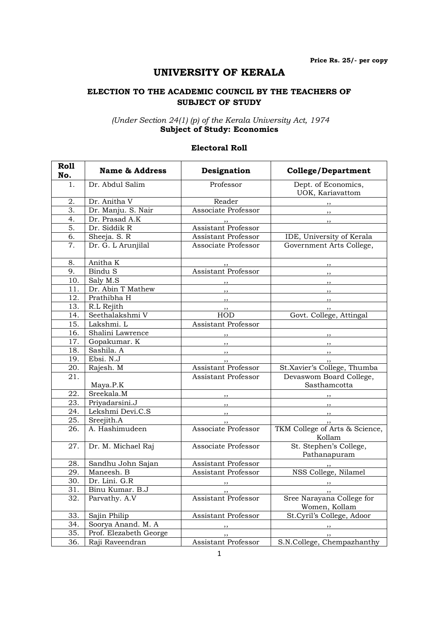# UNIVERSITY OF KERALA

### ELECTION TO THE ACADEMIC COUNCIL BY THE TEACHERS OF SUBJECT OF STUDY

#### (Under Section 24(1) (p) of the Kerala University Act, 1974 Subject of Study: Economics

### Electoral Roll

| <b>Roll</b><br>No. | <b>Name &amp; Address</b> | Designation                | <b>College/Department</b>                  |
|--------------------|---------------------------|----------------------------|--------------------------------------------|
| 1.                 | Dr. Abdul Salim           | Professor                  | Dept. of Economics,                        |
|                    |                           |                            | UOK, Kariavattom                           |
| 2.                 | Dr. Anitha V              | Reader                     | , ,                                        |
| 3.                 | Dr. Manju. S. Nair        | Associate Professor        | $, \, \, \cdot$                            |
| $\overline{4}$ .   | Dr. Prasad A.K            | $\cdots$                   | $, \, \, \cdot$                            |
| 5.                 | Dr. Siddik R              | Assistant Professor        |                                            |
| $\overline{6}$ .   | Sheeja. S. R              | <b>Assistant Professor</b> | IDE, University of Kerala                  |
| 7.                 | Dr. G. L Arunjilal        | Associate Professor        | Government Arts College,                   |
| 8.                 | Anitha K                  |                            |                                            |
| 9.                 | Bindu S                   | Assistant Professor        | , ,                                        |
| 10.                | Saly M.S                  | $, \, \,$                  | $, \, , \,$                                |
| 11.                | Dr. Abin T Mathew         | $, \, \cdot$               | , ,                                        |
| 12.                | Prathibha H               | $\overline{\phantom{a}}$ , | $, \, \, \cdot$                            |
| 13.                | R.L Rejith                | , ,                        | $, \,$                                     |
| 14.                | Seethalakshmi V           | ${\rm HOD}$                | Govt. College, Attingal                    |
| 15.                | Lakshmi. L                | Assistant Professor        |                                            |
| 16.                | Shalini Lawrence          | $, -$                      |                                            |
| 17.                | Gopakumar. K              |                            |                                            |
| 18.                | Sashila. A                | $, \, \,$                  | $, \, \,$                                  |
| 19.                | Ebsi. N.J                 | $, \,$                     | , ,                                        |
| 20.                | Rajesh. M                 | Assistant Professor        | St.Xavier's College, Thumba                |
| 21.                |                           | Assistant Professor        | Devaswom Board College,                    |
|                    | Maya.P.K                  |                            | Sasthamcotta                               |
| 22.                | Sreekala.M                |                            |                                            |
| 23.                | Priyadarsini.J            |                            | $\overline{\phantom{a}}$                   |
| 24.                | Lekshmi Devi.C.S          |                            | $\overline{\phantom{a}}$                   |
| 25.                | Sreejith.A                | , ,                        | , ,                                        |
| 26.                | A. Hashimudeen            | Associate Professor        | TKM College of Arts & Science,<br>Kollam   |
| 27.                | Dr. M. Michael Raj        | Associate Professor        | St. Stephen's College,<br>Pathanapuram     |
| 28.                | Sandhu John Sajan         | Assistant Professor        |                                            |
| 29.                | Maneesh. B                | <b>Assistant Professor</b> | NSS College, Nilamel                       |
| 30.                | Dr. Lini. G.R             | , ,                        |                                            |
| 31.                | Binu Kumar. B.J           |                            | $\,$ , , , , , , , , , , , , , , , , ,     |
| 32.                | Parvathy. A.V             | Assistant Professor        | Sree Narayana College for<br>Women, Kollam |
| 33.                | Sajin Philip              | Assistant Professor        | St.Cyril's College, Adoor                  |
| 34.                | Soorya Anand. M. A        |                            |                                            |
| 35.                | Prof. Elezabeth George    |                            |                                            |
| 36.                | Raji Raveendran           | Assistant Professor        | S.N.College, Chempazhanthy                 |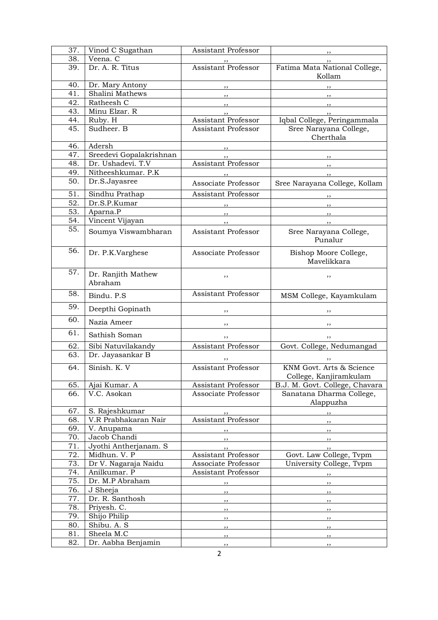| 37. | Vinod C Sugathan              | Assistant Professor        | $, \,$                                             |
|-----|-------------------------------|----------------------------|----------------------------------------------------|
| 38. | Veena. C                      |                            | $, \,$                                             |
| 39. | Dr. A. R. Titus               | <b>Assistant Professor</b> | Fatima Mata National College,<br>Kollam            |
| 40. | Dr. Mary Antony               |                            |                                                    |
| 41. | Shalini Mathews               | $, \, \,$                  | $\overline{\phantom{a}}$                           |
| 42. | Ratheesh C                    | $, \, \, \cdot$            |                                                    |
| 43. | Minu Elzar. R                 | $, \,$                     |                                                    |
| 44. | Ruby. H                       | Assistant Professor        | Iqbal College, Peringammala                        |
| 45. | Sudheer. B                    | <b>Assistant Professor</b> | Sree Narayana College,<br>Cherthala                |
| 46. | Adersh                        |                            |                                                    |
| 47. | Sreedevi Gopalakrishnan       |                            |                                                    |
| 48. | Dr. Ushadevi. T.V             | Assistant Professor        |                                                    |
| 49. | Nitheeshkumar. P.K            |                            |                                                    |
| 50. | Dr.S.Jayasree                 | Associate Professor        | Sree Narayana College, Kollam                      |
| 51. | Sindhu Prathap                | Assistant Professor        |                                                    |
| 52. | Dr.S.P.Kumar                  |                            | $\overline{\phantom{a}}$                           |
| 53. | Aparna.P                      | $, \, \, \cdot$            | $\overline{\phantom{a}}$                           |
| 54. | Vincent Vijayan               |                            |                                                    |
| 55. | Soumya Viswambharan           | <b>Assistant Professor</b> | Sree Narayana College,<br>Punalur                  |
| 56. | Dr. P.K.Varghese              | Associate Professor        | Bishop Moore College,<br>Mavelikkara               |
| 57. | Dr. Ranjith Mathew<br>Abraham | ,,                         | ,,                                                 |
| 58. | Bindu. P.S                    | Assistant Professor        | MSM College, Kayamkulam                            |
| 59. | Deepthi Gopinath              | ,,                         | ,,                                                 |
| 60. | Nazia Ameer                   | $, \,$                     | ,,                                                 |
| 61. | Sathish Soman                 | ,,                         | ,,                                                 |
| 62. | Sibi Natuvilakandy            | Assistant Professor        | Govt. College, Nedumangad                          |
| 63. | Dr. Jayasankar B              | ,,                         |                                                    |
| 64. | Sinish. K. V                  | <b>Assistant Professor</b> | KNM Govt. Arts & Science<br>College, Kanjiramkulam |
| 65. | Ajai Kumar. A                 | Assistant Professor        | B.J. M. Govt. College, Chavara                     |
| 66. | V.C. Asokan                   | Associate Professor        | Sanatana Dharma College,<br>Alappuzha              |
| 67. | S. Rajeshkumar                |                            |                                                    |
| 68. | V.R Prabhakaran Nair          | <b>Assistant Professor</b> |                                                    |
| 69. | V. Anupama                    | $, \, \,$                  |                                                    |
| 70. | Jacob Chandi                  | $, \, \, \cdot$            |                                                    |
| 71. | Jyothi Antherjanam. S         | $, \, \,$                  | $, \, , \,$                                        |
| 72. | Midhun. V. P                  | Assistant Professor        | Govt. Law College, Tvpm                            |
| 73. | Dr V. Nagaraja Naidu          | Associate Professor        | University College, Tvpm                           |
| 74. | Anilkumar. P                  | Assistant Professor        | $, \, \,$                                          |
| 75. | Dr. M.P Abraham               | $, \, \cdot$               | $, \,$                                             |
| 76. | J Sheeja                      | $, \, \,$                  | $, \, \,$                                          |
| 77. | Dr. R. Santhosh               | , ,                        | ,,                                                 |
| 78. | Priyesh. C.                   | , ,                        | ,,                                                 |
| 79. | Shijo Philip                  | , ,                        | ,,                                                 |
| 80. | Shibu. A. S                   | , ,                        | ,,                                                 |
| 81. | Sheela M.C                    | , ,                        | ,,                                                 |
| 82. | Dr. Aabha Benjamin            | , ,                        | , ,                                                |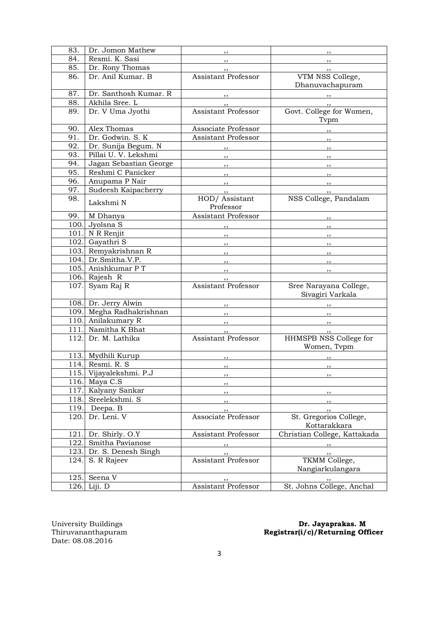| 83.  | Dr. Jomon Mathew        | , ,                                                 | , ,                           |
|------|-------------------------|-----------------------------------------------------|-------------------------------|
| 84.  | Resmi. K. Sasi          | , ,                                                 | $, \,$                        |
| 85.  | Dr. Rony Thomas         | , ,                                                 | , ,                           |
| 86.  | Dr. Anil Kumar. B       | <b>Assistant Professor</b>                          | VTM NSS College,              |
|      |                         |                                                     | Dhanuvachapuram               |
| 87.  | Dr. Santhosh Kumar. R   |                                                     | , 1                           |
| 88.  | Akhila Sree. L          | $, \,$                                              | $\frac{1}{2}$ , $\frac{1}{2}$ |
| 89.  | Dr. V Uma Jyothi        | <b>Assistant Professor</b>                          | Govt. College for Women,      |
|      |                         |                                                     | Typm                          |
| 90.  | Alex Thomas             | Associate Professor                                 |                               |
| 91.  | Dr. Godwin. S. K        | <b>Assistant Professor</b>                          | ,,                            |
| 92.  | Dr. Sunija Begum. N     |                                                     | ,,                            |
| 93.  | Pillai U. V. Lekshmi    |                                                     | $\overline{\phantom{a}}$      |
| 94.  | Jagan Sebastian George  | $, \, \, \cdot$                                     | $\overline{\phantom{a}}$      |
| 95.  | Reshmi C Panicker       | $\overline{\phantom{a}}$ , $\overline{\phantom{a}}$ | $\overline{\phantom{a}}$      |
| 96.  | Anupama P Nair          |                                                     | $\overline{\phantom{a}}$      |
| 97.  | Sudeesh Kaipacherry     | , ,                                                 | , ,                           |
| 98.  | Lakshmi N               | HOD/ Assistant                                      | NSS College, Pandalam         |
|      |                         | Professor                                           |                               |
| 99.  | M Dhanya                | Assistant Professor                                 | $\overline{\phantom{a}}$      |
| 100. | Jyolsna S               |                                                     | $\overline{\phantom{a}}$      |
| 101. | N R Renjit              | $, \, \,$                                           | $\overline{\phantom{a}}$      |
| 102. | Gayathri S              | $, \, \,$                                           | $\overline{\phantom{a}}$      |
| 103. | Remyakrishnan R         | $, \, , \,$                                         | $\overline{\phantom{a}}$      |
| 104. | Dr.Smitha.V.P.          | $\overline{\mathbf{r}}$                             | , ,                           |
|      | 105. Anishkumar PT      | $\overline{\phantom{a}}$                            | $\overline{\phantom{a}}$      |
|      | 106. Rajesh R           |                                                     |                               |
| 107. | Syam Raj R              | Assistant Professor                                 | Sree Narayana College,        |
|      |                         |                                                     | Sivagiri Varkala              |
| 108. | Dr. Jerry Alwin         | , ,                                                 | $, \,$                        |
| 109. | Megha Radhakrishnan     | $, \, \cdot$                                        | $, \, \cdot$                  |
|      | 110. Anilakumary R      | , ,                                                 | $\overline{\phantom{a}}$      |
| 111. | Namitha K Bhat          | , ,                                                 | , ,                           |
| 112. | Dr. M. Lathika          | Assistant Professor                                 | HHMSPB NSS College for        |
|      |                         |                                                     | Women, Typm                   |
|      | 113. Mydhili Kurup      | $, \, , \,$                                         |                               |
|      | 114. Resmi. R. S        | ,,                                                  | , ,                           |
|      | 115. Vijayalekshmi. P.J |                                                     |                               |
|      | 116. Maya C.S           |                                                     |                               |
| 117. | Kalyany Sankar          |                                                     |                               |
| 118. | Sreelekshmi. S          |                                                     |                               |
| 119. | Deepa. B                | ,,                                                  | ,,                            |
| 120. | Dr. Leni. V             | Associate Professor                                 | St. Gregorios College,        |
|      |                         |                                                     | Kottarakkara                  |
| 121. | Dr. Shirly. O.Y         | Assistant Professor                                 | Christian College, Kattakada  |
| 122. | Smitha Pavianose        |                                                     | , ,                           |
| 123. | Dr. S. Denesh Singh     | ,,                                                  | ,,                            |
| 124  | S. R Rajeev             | Assistant Professor                                 | TKMM College,                 |
|      |                         |                                                     | Nangiarkulangara              |
| 125. | Seena V                 |                                                     |                               |
| 126. | Liji. D                 | Assistant Professor                                 | St. Johns College, Anchal     |

University Buildings<br>Thiruvananthapuram<br>Date: 08.08.2016

#### University Buildings **Dr. Jayaprakas. M** Thiruvananthapuram **Registrar(i/c)/Returning Officer**